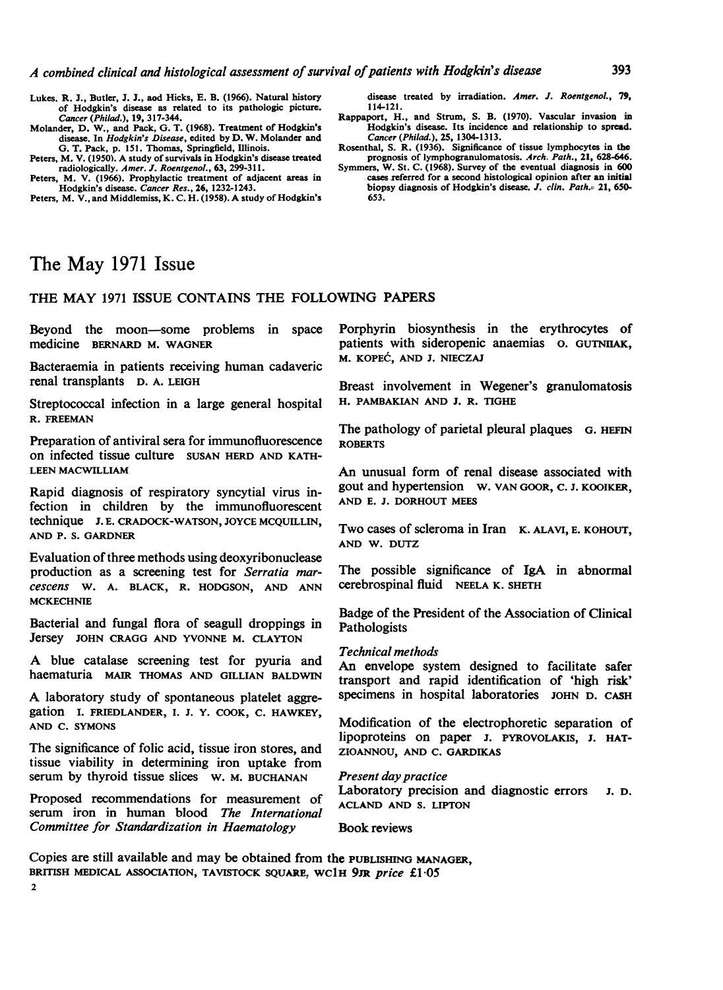- Lukes. R. J., Butler, J. J., aod Hicks, E. B. (1966). Natural history of Hodgkin's disease as related to its pathologic picture. Cancer (Philad.), 19, 317-344.
- Molander, D. W., and Pack, G. T. (1968). Treatment of Hodgkin's disease. In Hodgkin's Disease, edited by D. W. Molander and G. T. Pack, p. 151. Thomas, Springfield, Illinois.
- Peters, M. V. (1950). A study of survivals in Hodgkin's disease treated radiologically. Amer. J. Roentgenol., 63, 299-311.
- Peters, M. V. (1966). Prophylactic treatment of adjacent areas in Hodgkin's disease. Cancer Res., 26, 1232-1243.

Peters, M. V., and Middlemiss, K. C. H. (1958). A study of Hodgkin's

disease treated by irradiation. Amer. J. Roentgenol., 79, 114-121.

Rappaport, H., and Strum, S. B. (1970). Vascular invasion in Hodgkin's disease. Its incidence and relationship to spread. Cancer (Philad.), 25, 1304-1313.

Rosenthal, S. R. (1936). Significance of tissue lymphocytes in the prognosis of lymphogranulomatosis. Arch. Path., 21, 628-646.

Symmers, W. St. C. (1968). Survey of the eventual diagnosis in 600 cases referred for a second histological opinion after an initial biopsy diagnosis of Hodgkin's disease. J. clin. Path. 21, 650-653.

# The May <sup>1971</sup> Issue

# THE MAY <sup>1971</sup> ISSUE CONTAINS THE FOLLOWING PAPERS

Beyond the moon-some problems in space medicine BERNARD M. WAGNER

Bacteraemia in patients receiving human cadaveric renal transplants D. A. LEIGH

Streptococcal infection in a large general hospital R. FREEMAN

Preparation of antiviral sera for immunofluorescence on infected tissue culture SUSAN HERD AND KATH-LEEN MACWILLIAM

Rapid diagnosis of respiratory syncytial virus infection in children by the immunofluorescent technique J. E. CRADOCK-WATSON, JOYCE MCQUILLIN, AND P. S. GARDNER

Evaluation of three methods using deoxyribonuclease production as a screening test for Serratia marcescens W. A. BLACK, R. HODGSON, AND ANN **MCKECHNIE** 

Bacterial and fungal flora of seagull droppings in Jersey JOHN CRAGG AND YVONNE M. CLAYTON

A blue catalase screening test for pyuria and haematuria MAIR THOMAS AND GILLIAN BALDWIN

A laboratory study of spontaneous platelet aggregation I. FRIEDLANDER, I. J. Y. COOK, C. HAWKEY, AND C. SYMONS

The significance of folic acid, tissue iron stores, and tissue viability in determining iron uptake from serum by thyroid tissue slices W. M. BUCHANAN

Proposed recommendations for measurement of serum iron in human blood The International Committee for Standardization in Haematology

Porphyrin biosynthesis in the erythrocytes of patients with sideropenic anaemias 0. GUTNIIAK, M. KOPEC, AND J. NIECZAJ

Breast involvement in Wegener's granulomatosis H. PAMBAKIAN AND J. R. TIGHE

The pathology of parietal pleural plaques G. HEFIN ROBERTS

An unusual form of renal disease associated with gout and hypertension W. VAN GOOR, C. J. KOOIKER, AND E. J. DORHOUT MEES

Two cases of scleroma in Iran K. ALAVI, E. KOHOUT, AND W. DUTZ

The possible significance of IgA in abnormal cerebrospinal fluid NEELA K. SHETH

Badge of the President of the Association of Clinical Pathologists

# Technical methods

An envelope system designed to facilitate safer transport and rapid identification of 'high risk' specimens in hospital laboratories JOHN D. CASH

Modification of the electrophoretic separation of lipoproteins on paper J. PYROVOLAKIS, J. HAT-ZIOANNOU, AND C. GARDIKAS

Present day practice

Laboratory precision and diagnostic errors J. D. ACLAND AND S. LIPTON

Book reviews

Copies are still available and may be obtained from the PUBLISHING MANAGER, BRITISH MEDICAL ASSOCIATION, TAVISTOCK SQUARE. WC1H 9JR price £1.05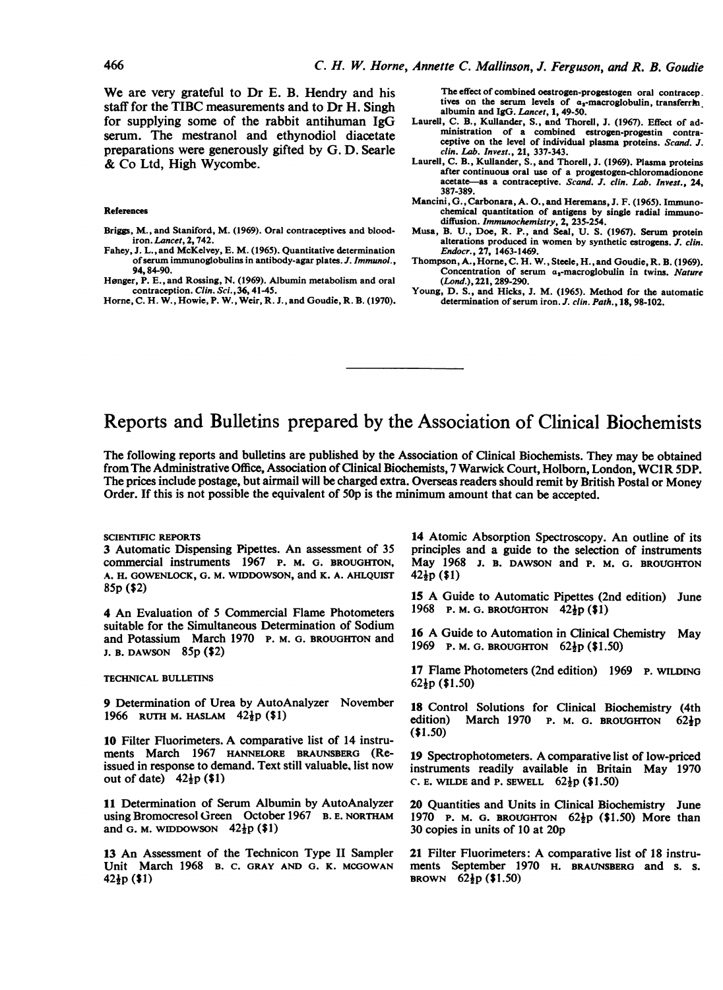We are very grateful to Dr E. B. Hendry and his staff for the TIBC measurements and to Dr H. Singh for supplying some of the rabbit antihuman IgG serum. The mestranol and ethynodiol diacetate preparations were generously gifted by G. D. Searle & Co Ltd, High Wycombe.

### References

Briggs, M., and Staniford, M. (1969). Oral contraceptives and bloodiron. Lancet, 2, 742.

- Fahey, J. L., and McKelvey, E. M. (1965). Quantitative determination ofserum immunoglobulins in antibody-agar plates. J. Immunol., 94,84-90.
- Hønger, P. E., and Rossing, N. (1969). Albumin metabolism and oral contraception. Clin. Sci., 36, 41-45.

Horne, C. H. W., Howie, P. W., Weir, R. J., and Goudie, R. B. (1970).

The effect of combined oestrogen-progestogen oral contracep. tives on the serum levels of  $\alpha_s$ -macroglobulin, transferring albumin and IgG. Lancet, 1, 49-50.

- Laurell, C. B., Kullander, S., and Thorell, J. (1967). Effect of administration of a combined estrogen-progestin contraceptive on the level of individual plasma proteins. Scand. J. clin. Lab. Invest., 21, 337-343.
- Laurell, C. B., Kullander, S., and Thorell, J. (1969). Plasma proteins after continuous oral use of a progestogen-chloromadionone acetate—as a contraceptive. Scand. J. clin. Lab. Invest., 24, 387-389.
- Mancini, G., Carbonara, A. O., and Heremans, J. F. (1965). Immunochemical quantitation of antigens by single radial immunodiffusion. Immunochemistry, 2, 235-254.
- Musa, B. U., Doe, R. P., and Seal, U. S. (1967). Serum protein alterations produced in women by synthetic estrogens. J. clin. Endocr., 27, 1463-1469.
- Thompson, A., Horne, C. H. W., Steele, H., and Goudie, R. B. (1969). Concentration of serum a,-macroglobulin in twins. Nature (Lond.), 221, 289-290.
- Young, D. S., and Hicks, J. M. (1965). Method for the automatic determination of serum iron. J. clin. Path., 18, 98-102.

# Reports and Bulletins prepared by the Association of Clinical Biochemists

The following reports and bulletins are published by the Association of Clinical Biochemists. They may be obtained from The Administrative Office, Association of Clinical Biochemists, <sup>7</sup> Warwick Court, Holbom, London, WC1R 5DP. The prices include postage, but airmail will be charged extra. Overseas readers should remit by British Postal or Money Order. If this is not possible the equivalent of 50p is the minimum amount that can be accepted.

#### SCIENTIFIC REPORTS

3 Automatic Dispensing Pipettes. An assessment of 35 commercial instruments 1967 P. M. G. BROUGHTON, A. H. GOWENLOCK, G. M. WIDDOWSON, and K. A. AHLOUIST 85p (\$2)

4 An Evaluation of <sup>5</sup> Commercial Flame Photometers suitable for the Simultaneous Determination of Sodium and Potassium March 1970 P. M. G. BROUGHTON and J. B. DAWSON 85p (\$2)

#### TECHNICAL BULLETINS

9 Determination of Urea by AutoAnalyzer November 1966 RUTH M. HASLAM  $42\frac{1}{2}p$  (\$1)

<sup>10</sup> Filter Fluorimeters. A comparative list of <sup>14</sup> instruments March 1967 HANNELORE BRAUNSBERG (Reissued in response to demand. Text still valuable, list now out of date)  $42\frac{1}{2}p$  (\$1)

11 Determination of Serum Albumin by AutoAnalyzer using Bromocresol Green October 1967 B. E. NORTHAM and G. M. WIDDOWSON  $42\frac{1}{2}p$  (\$1)

<sup>13</sup> An Assessment of the Technicon Type II Sampler Unit March 1968 B. C. GRAY AND G. K. MCGOWAN  $42\frac{1}{2}p(1)$ 

14 Atomic Absorption Spectroscopy. An outline of its principles and a guide to the selection of instruments May 1968 J. B. DAWSON and P. M. G. BROUGHTON  $42\frac{1}{2}p(1)$ 

<sup>15</sup> A Guide to Automatic Pipettes (2nd edition) June 1968 P. M. G. BROUGHTON  $42\frac{1}{2}p$  (\$1)

<sup>16</sup> A Guide to Automation in Clinical Chemistry May 1969 P. M. G. BROUGHTON  $62\frac{1}{2}p$  (\$1.50)

17 Flame Photometers (2nd edition) 1969 P. WILDING  $62\frac{1}{2}p$  (\$1.50)

18 Control Solutions for Clinical Biochemistry (4th edition) March 1970 P. M. G. BROUGHTON 6210 March 1970 P. M. G. BROUGHTON  $62\frac{1}{2}p$ (\$1.50)

<sup>19</sup> Spectrophotometers. A comparative list of low-priced instruments readily available in Britain May 1970 C. E. WILDE and P. SEWELL  $62\frac{1}{2}p$  (\$1.50)

20 Quantities and Units in Clinical Biochemistry June 1970 P. M. G. BROUGHTON  $62\frac{1}{2}p$  (\$1.50) More than 30 copies in units of 10 at 20p

<sup>21</sup> Filter Fluorimeters: A comparative list of <sup>18</sup> instruments September 1970 H. BRAUNSBERG and s. s. BROWN  $62\frac{1}{2}p$  (\$1.50)